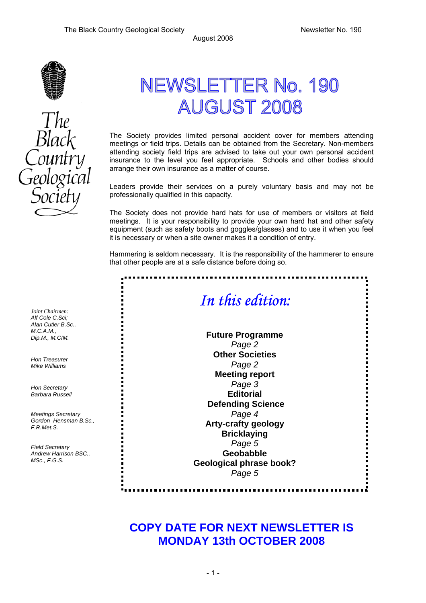

# NEWSLETTER No. 190 **AUGUST 2008**

The Society provides limited personal accident cover for members attending meetings or field trips. Details can be obtained from the Secretary. Non-members attending society field trips are advised to take out your own personal accident insurance to the level you feel appropriate. Schools and other bodies should arrange their own insurance as a matter of course.

Leaders provide their services on a purely voluntary basis and may not be professionally qualified in this capacity.

The Society does not provide hard hats for use of members or visitors at field meetings. It is your responsibility to provide your own hard hat and other safety equipment (such as safety boots and goggles/glasses) and to use it when you feel it is necessary or when a site owner makes it a condition of entry.

Hammering is seldom necessary. It is the responsibility of the hammerer to ensure that other people are at a safe distance before doing so.



### **COPY DATE FOR NEXT NEWSLETTER IS MONDAY 13th OCTOBER 2008**

*Joint Chairmen: Alf Cole C.Sci; Alan Cutler B.Sc., M.C.A.M., Dip.M., M.CIM.* 

*Hon Treasurer Mike Williams* 

*Hon Secretary Barbara Russell* 

*Meetings Secretary Gordon Hensman B.Sc., F.R.Met.S.* 

*Field Secretary Andrew Harrison BSC., MSc., F.G.S.* 

 $-1$  -  $-1$  -  $-1$  -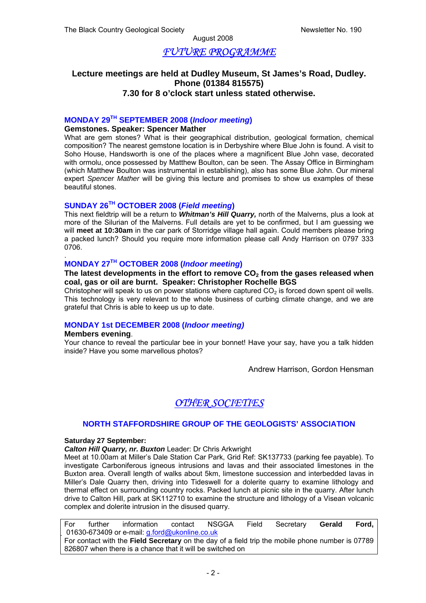### *FUTURE PROGRAMME*

#### **Lecture meetings are held at Dudley Museum, St James's Road, Dudley. Phone (01384 815575) 7.30 for 8 o'clock start unless stated otherwise.**

#### **MONDAY 29TH SEPTEMBER 2008 (***Indoor meeting***)**

#### **Gemstones. Speaker: Spencer Mather**

What are gem stones? What is their geographical distribution, geological formation, chemical composition? The nearest gemstone location is in Derbyshire where Blue John is found. A visit to Soho House, Handsworth is one of the places where a magnificent Blue John vase, decorated with ormolu, once possessed by Matthew Boulton, can be seen. The Assay Office in Birmingham (which Matthew Boulton was instrumental in establishing), also has some Blue John. Our mineral expert *Spencer Mather* will be giving this lecture and promises to show us examples of these beautiful stones.

#### **SUNDAY 26TH OCTOBER 2008 (***Field meeting***)**

This next fieldtrip will be a return to *Whitman's Hill Quarry,* north of the Malverns, plus a look at more of the Silurian of the Malverns. Full details are yet to be confirmed, but I am guessing we will **meet at 10:30am** in the car park of Storridge village hall again. Could members please bring a packed lunch? Should you require more information please call Andy Harrison on 0797 333 0706.

#### **MONDAY 27TH OCTOBER 2008 (***Indoor meeting***)**

#### The latest developments in the effort to remove CO<sub>2</sub> from the gases released when **coal, gas or oil are burnt. Speaker: Christopher Rochelle BGS**

Christopher will speak to us on power stations where captured  $CO<sub>2</sub>$  is forced down spent oil wells. This technology is very relevant to the whole business of curbing climate change, and we are grateful that Chris is able to keep us up to date.

#### **MONDAY 1st DECEMBER 2008 (***Indoor meeting)*

#### **Members evening**.

.

Your chance to reveal the particular bee in your bonnet! Have your say, have you a talk hidden inside? Have you some marvellous photos?

Andrew Harrison, Gordon Hensman

### *OTHER SOCIETIES*

#### **NORTH STAFFORDSHIRE GROUP OF THE GEOLOGISTS' ASSOCIATION**

#### **Saturday 27 September:**

*Calton Hill Quarry, nr. Buxton* Leader: Dr Chris Arkwright

Meet at 10.00am at Miller's Dale Station Car Park, Grid Ref: SK137733 (parking fee payable). To investigate Carboniferous igneous intrusions and lavas and their associated limestones in the Buxton area. Overall length of walks about 5km, limestone succession and interbedded lavas in Miller's Dale Quarry then, driving into Tideswell for a dolerite quarry to examine lithology and thermal effect on surrounding country rocks. Packed lunch at picnic site in the quarry. After lunch drive to Calton Hill, park at SK112710 to examine the structure and lithology of a Visean volcanic complex and dolerite intrusion in the disused quarry.

For further information contact NSGGA Field Secretary **Gerald Ford,**  01630-673409 or e-mail: g.ford@ukonline.co.uk For contact with the **Field Secretary** on the day of a field trip the mobile phone number is 07789 826807 when there is a chance that it will be switched on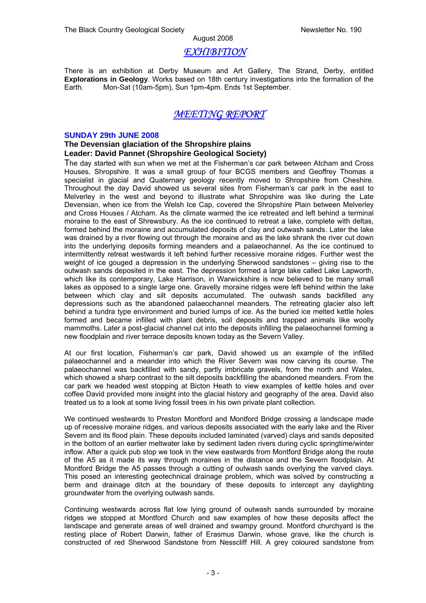#### *EXHIBITION*

There is an exhibition at Derby Museum and Art Gallery, The Strand, Derby, entitled **Explorations in Geology**. Works based on 18th century investigations into the formation of the Earth. Mon-Sat (10am-5pm), Sun 1pm-4pm. Ends 1st September.

#### *MEETING REPORT*

#### **SUNDAY 29th JUNE 2008**

#### **The Devensian glaciation of the Shropshire plains Leader: David Pannet (Shropshire Geological Society)**

The day started with sun when we met at the Fisherman's car park between Atcham and Cross Houses, Shropshire. It was a small group of four BCGS members and Geoffrey Thomas a specialist in glacial and Quaternary geology recently moved to Shropshire from Cheshire. Throughout the day David showed us several sites from Fisherman's car park in the east to Melverley in the west and beyond to illustrate what Shropshire was like during the Late Devensian, when ice from the Welsh Ice Cap, covered the Shropshire Plain between Melverley and Cross Houses / Atcham. As the climate warmed the ice retreated and left behind a terminal moraine to the east of Shrewsbury. As the ice continued to retreat a lake, complete with deltas, formed behind the moraine and accumulated deposits of clay and outwash sands. Later the lake was drained by a river flowing out through the moraine and as the lake shrank the river cut down into the underlying deposits forming meanders and a palaeochannel. As the ice continued to intermittently retreat westwards it left behind further recessive moraine ridges. Further west the weight of ice gouged a depression in the underlying Sherwood sandstones – giving rise to the outwash sands deposited in the east. The depression formed a large lake called Lake Lapworth, which like its contemporary, Lake Harrison, in Warwickshire is now believed to be many small lakes as opposed to a single large one. Gravelly moraine ridges were left behind within the lake between which clay and silt deposits accumulated. The outwash sands backfilled any depressions such as the abandoned palaeochannel meanders. The retreating glacier also left behind a tundra type environment and buried lumps of ice. As the buried ice melted kettle holes formed and became infilled with plant debris, soil deposits and trapped animals like woolly mammoths. Later a post-glacial channel cut into the deposits infilling the palaeochannel forming a new floodplain and river terrace deposits known today as the Severn Valley.

At our first location, Fisherman's car park, David showed us an example of the infilled palaeochannel and a meander into which the River Severn was now carving its course. The palaeochannel was backfilled with sandy, partly imbricate gravels, from the north and Wales, which showed a sharp contrast to the silt deposits backfilling the abandoned meanders. From the car park we headed west stopping at Bicton Heath to view examples of kettle holes and over coffee David provided more insight into the glacial history and geography of the area. David also treated us to a look at some living fossil trees in his own private plant collection.

We continued westwards to Preston Montford and Montford Bridge crossing a landscape made up of recessive moraine ridges, and various deposits associated with the early lake and the River Severn and its flood plain. These deposits included laminated (varved) clays and sands deposited in the bottom of an earlier meltwater lake by sediment laden rivers during cyclic springtime/winter inflow. After a quick pub stop we took in the view eastwards from Montford Bridge along the route of the A5 as it made its way through moraines in the distance and the Severn floodplain. At Montford Bridge the A5 passes through a cutting of outwash sands overlying the varved clays. This posed an interesting geotechnical drainage problem, which was solved by constructing a berm and drainage ditch at the boundary of these deposits to intercept any daylighting groundwater from the overlying outwash sands.

Continuing westwards across flat low lying ground of outwash sands surrounded by moraine ridges we stopped at Montford Church and saw examples of how these deposits affect the landscape and generate areas of well drained and swampy ground. Montford churchyard is the resting place of Robert Darwin, father of Erasmus Darwin, whose grave, like the church is constructed of red Sherwood Sandstone from Nesscliff Hill. A grey coloured sandstone from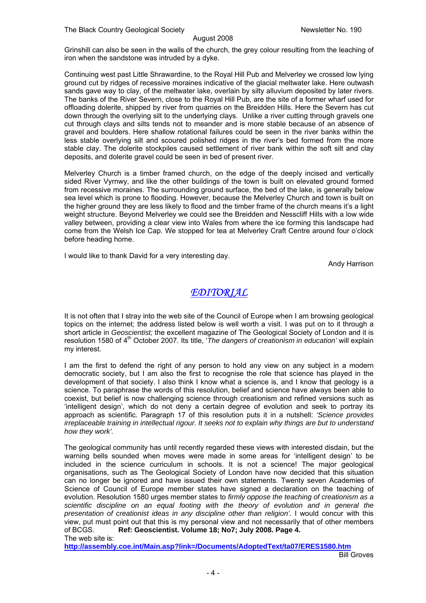Grinshill can also be seen in the walls of the church, the grey colour resulting from the leaching of iron when the sandstone was intruded by a dyke.

Continuing west past Little Shrawardine, to the Royal Hill Pub and Melverley we crossed low lying ground cut by ridges of recessive moraines indicative of the glacial meltwater lake. Here outwash sands gave way to clay, of the meltwater lake, overlain by silty alluvium deposited by later rivers. The banks of the River Severn, close to the Royal Hill Pub, are the site of a former wharf used for offloading dolerite, shipped by river from quarries on the Breidden Hills. Here the Severn has cut down through the overlying silt to the underlying clays. Unlike a river cutting through gravels one cut through clays and silts tends not to meander and is more stable because of an absence of gravel and boulders. Here shallow rotational failures could be seen in the river banks within the less stable overlying silt and scoured polished ridges in the river's bed formed from the more stable clay. The dolerite stockpiles caused settlement of river bank within the soft silt and clay deposits, and dolerite gravel could be seen in bed of present river.

Melverley Church is a timber framed church, on the edge of the deeply incised and vertically sided River Vyrnwy, and like the other buildings of the town is built on elevated ground formed from recessive moraines. The surrounding ground surface, the bed of the lake, is generally below sea level which is prone to flooding. However, because the Melverley Church and town is built on the higher ground they are less likely to flood and the timber frame of the church means it's a light weight structure. Beyond Melverley we could see the Breidden and Nesscliff Hills with a low wide valley between, providing a clear view into Wales from where the ice forming this landscape had come from the Welsh Ice Cap. We stopped for tea at Melverley Craft Centre around four o'clock before heading home.

I would like to thank David for a very interesting day.

Andy Harrison

### *EDITORIAL*

It is not often that I stray into the web site of the Council of Europe when I am browsing geological topics on the internet; the address listed below is well worth a visit. I was put on to it through a short article in *Geoscientist;* the excellent magazine of The Geological Society of London and it is resolution 1580 of 4<sup>th</sup> October 2007. Its title, '*The dangers of creationism in education'* will explain my interest.

I am the first to defend the right of any person to hold any view on any subject in a modern democratic society, but I am also the first to recognise the role that science has played in the development of that society. I also think I know what a science is, and I know that geology is a science. To paraphrase the words of this resolution, belief and science have always been able to coexist, but belief is now challenging science through creationism and refined versions such as 'intelligent design', which do not deny a certain degree of evolution and seek to portray its approach as scientific. Paragraph 17 of this resolution puts it in a nutshell: *'Science provides irreplaceable training in intellectual rigour. It seeks not to explain why things are but to understand how they work'.* 

The geological community has until recently regarded these views with interested disdain, but the warning bells sounded when moves were made in some areas for 'intelligent design' to be included in the science curriculum in schools. It is not a science! The major geological organisations, such as The Geological Society of London have now decided that this situation can no longer be ignored and have issued their own statements. Twenty seven Academies of Science of Council of Europe member states have signed a declaration on the teaching of evolution. Resolution 1580 urges member states to *firmly oppose the teaching of creationism as a scientific discipline on an equal footing with the theory of evolution and in general the*  presentation of creationist ideas in any discipline other than religion'. I would concur with this view, put must point out that this is my personal view and not necessarily that of other members of BCGS.<br> **Ref: Geoscientist. Volume 18: No7: July 2008. Page 4.** Ref: Geoscientist. Volume 18; No7; July 2008. Page 4. The web site is:

**http://assembly.coe.int/Main.asp?link=/Documents/AdoptedText/ta07/ERES1580.htm**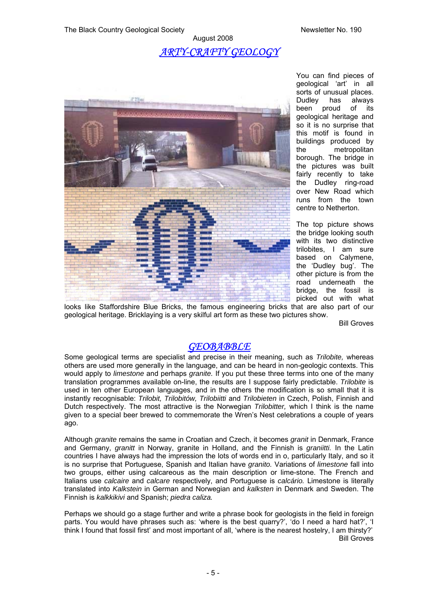### August 2008 *ARTY-CRAFTY GEOLOGY*



You can find pieces of geological 'art' in all sorts of unusual places. Dudley has always been proud of its geological heritage and so it is no surprise that this motif is found in buildings produced by the metropolitan borough. The bridge in the pictures was built fairly recently to take the Dudley ring-road over New Road which runs from the town centre to Netherton.

The top picture shows the bridge looking south with its two distinctive trilobites, I am sure based on Calymene, the 'Dudley bug'. The other picture is from the road underneath the bridge, the fossil is picked out with what

looks like Staffordshire Blue Bricks, the famous engineering bricks that are also part of our geological heritage. Bricklaying is a very skilful art form as these two pictures show.

Bill Groves

### *GEOBABBLE*

Some geological terms are specialist and precise in their meaning, such as *Trilobite,* whereas others are used more generally in the language, and can be heard in non-geologic contexts. This would apply to *limestone* and perhaps *granite.* If you put these three terms into one of the many translation programmes available on-line, the results are I suppose fairly predictable. *Trilobite* is used in ten other European languages, and in the others the modification is so small that it is instantly recognisable: *Trilobit, Trilobitów, Trilobiitti* and *Trilobieten* in Czech, Polish, Finnish and Dutch respectively. The most attractive is the Norwegian *Trilobitter,* which I think is the name given to a special beer brewed to commemorate the Wren's Nest celebrations a couple of years ago.

Although *granite* remains the same in Croatian and Czech, it becomes *granit* in Denmark, France and Germany, *granitt* in Norway, granite in Holland, and the Finnish is *graniitti.* In the Latin countries I have always had the impression the lots of words end in o, particularly Italy, and so it is no surprise that Portuguese, Spanish and Italian have *granito.* Variations of *limestone* fall into two groups, either using calcareous as the main description or lime-stone. The French and Italians use *calcaire* and *calcare* respectively, and Portuguese is *calcário.* Limestone is literally translated into *Kalkstein* in German and Norwegian and *kalksten* in Denmark and Sweden. The Finnish is *kalkkikivi* and Spanish; *piedra caliza.* 

Perhaps we should go a stage further and write a phrase book for geologists in the field in foreign parts. You would have phrases such as: 'where is the best quarry?', 'do I need a hard hat?', 'I think I found that fossil first' and most important of all, 'where is the nearest hostelry, I am thirsty?' Bill Groves